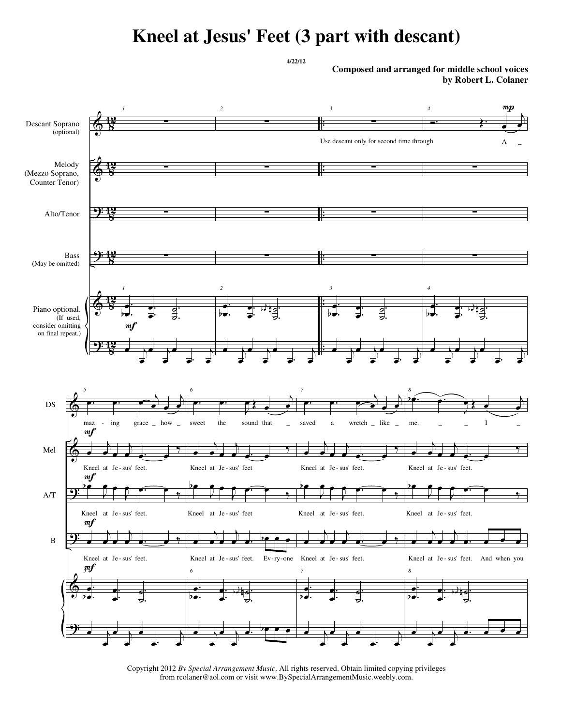## **Kneel at Jesus' Feet (3 part with descant)**

**4/22/12**

**Composed and arranged for middle school voices by Robert L. Colaner**



Copyright 2012 *By Special Arrangement Music*. All rights reserved. Obtain limited copying privileges from rcolaner@aol.com or visit www.BySpecialArrangementMusic.weebly.com.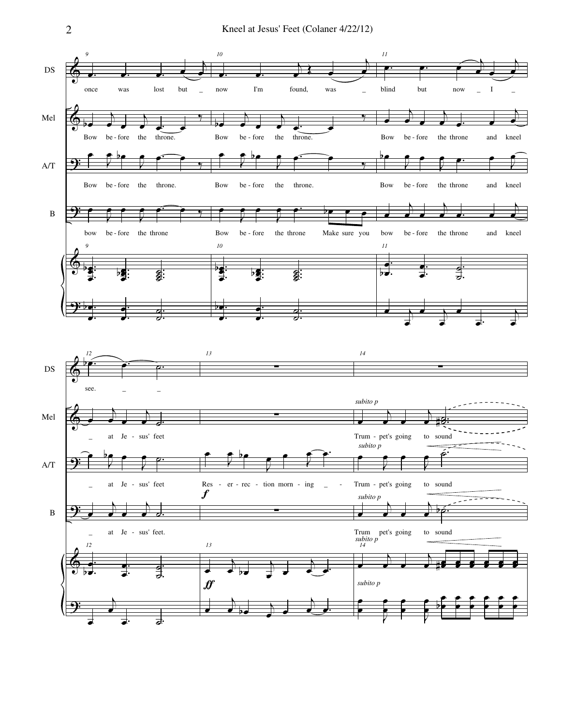